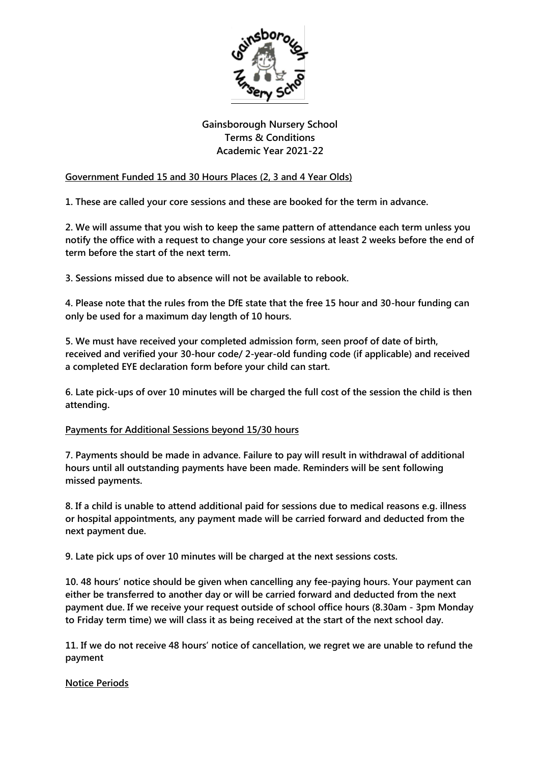

# **Gainsborough Nursery School Terms & Conditions Academic Year 2021-22**

## **Government Funded 15 and 30 Hours Places (2, 3 and 4 Year Olds)**

**1. These are called your core sessions and these are booked for the term in advance.**

**2. We will assume that you wish to keep the same pattern of attendance each term unless you notify the office with a request to change your core sessions at least 2 weeks before the end of term before the start of the next term.**

**3. Sessions missed due to absence will not be available to rebook.**

**4. Please note that the rules from the DfE state that the free 15 hour and 30-hour funding can only be used for a maximum day length of 10 hours.**

**5. We must have received your completed admission form, seen proof of date of birth, received and verified your 30-hour code/ 2-year-old funding code (if applicable) and received a completed EYE declaration form before your child can start.**

**6. Late pick-ups of over 10 minutes will be charged the full cost of the session the child is then attending.**

#### **Payments for Additional Sessions beyond 15/30 hours**

**7. Payments should be made in advance. Failure to pay will result in withdrawal of additional hours until all outstanding payments have been made. Reminders will be sent following missed payments.**

**8. If a child is unable to attend additional paid for sessions due to medical reasons e.g. illness or hospital appointments, any payment made will be carried forward and deducted from the next payment due.**

**9. Late pick ups of over 10 minutes will be charged at the next sessions costs.**

**10. 48 hours' notice should be given when cancelling any fee-paying hours. Your payment can either be transferred to another day or will be carried forward and deducted from the next payment due. If we receive your request outside of school office hours (8.30am - 3pm Monday to Friday term time) we will class it as being received at the start of the next school day.**

**11. If we do not receive 48 hours' notice of cancellation, we regret we are unable to refund the payment**

#### **Notice Periods**